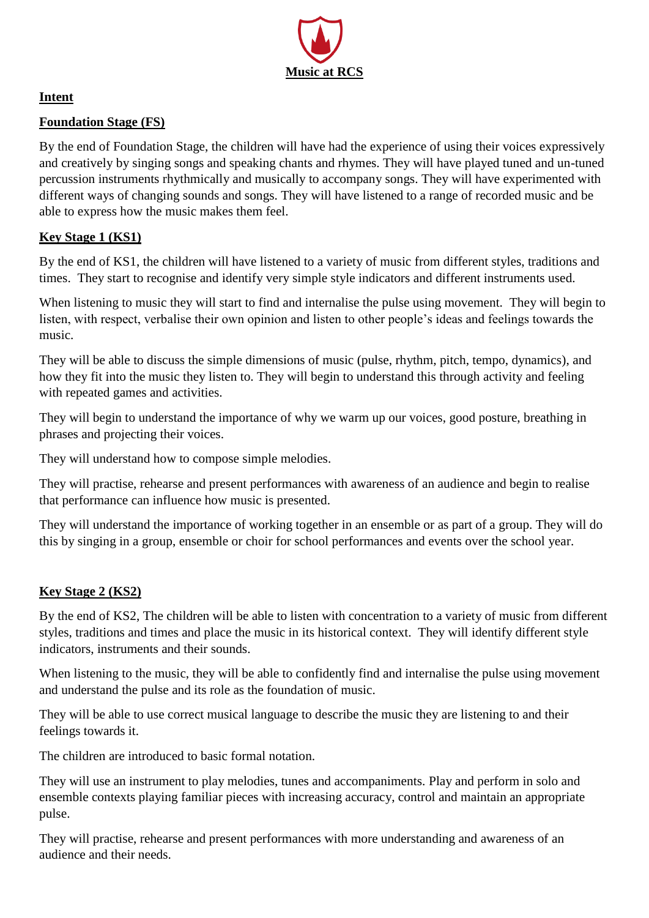

## **Intent**

## **Foundation Stage (FS)**

By the end of Foundation Stage, the children will have had the experience of using their voices expressively and creatively by singing songs and speaking chants and rhymes. They will have played tuned and un-tuned percussion instruments rhythmically and musically to accompany songs. They will have experimented with different ways of changing sounds and songs. They will have listened to a range of recorded music and be able to express how the music makes them feel.

# **Key Stage 1 (KS1)**

By the end of KS1, the children will have listened to a variety of music from different styles, traditions and times. They start to recognise and identify very simple style indicators and different instruments used.

When listening to music they will start to find and internalise the pulse using movement. They will begin to listen, with respect, verbalise their own opinion and listen to other people's ideas and feelings towards the music.

They will be able to discuss the simple dimensions of music (pulse, rhythm, pitch, tempo, dynamics), and how they fit into the music they listen to. They will begin to understand this through activity and feeling with repeated games and activities.

They will begin to understand the importance of why we warm up our voices, good posture, breathing in phrases and projecting their voices.

They will understand how to compose simple melodies.

They will practise, rehearse and present performances with awareness of an audience and begin to realise that performance can influence how music is presented.

They will understand the importance of working together in an ensemble or as part of a group. They will do this by singing in a group, ensemble or choir for school performances and events over the school year.

# **Key Stage 2 (KS2)**

By the end of KS2, The children will be able to listen with concentration to a variety of music from different styles, traditions and times and place the music in its historical context. They will identify different style indicators, instruments and their sounds.

When listening to the music, they will be able to confidently find and internalise the pulse using movement and understand the pulse and its role as the foundation of music.

They will be able to use correct musical language to describe the music they are listening to and their feelings towards it.

The children are introduced to basic formal notation.

They will use an instrument to play melodies, tunes and accompaniments. Play and perform in solo and ensemble contexts playing familiar pieces with increasing accuracy, control and maintain an appropriate pulse.

They will practise, rehearse and present performances with more understanding and awareness of an audience and their needs.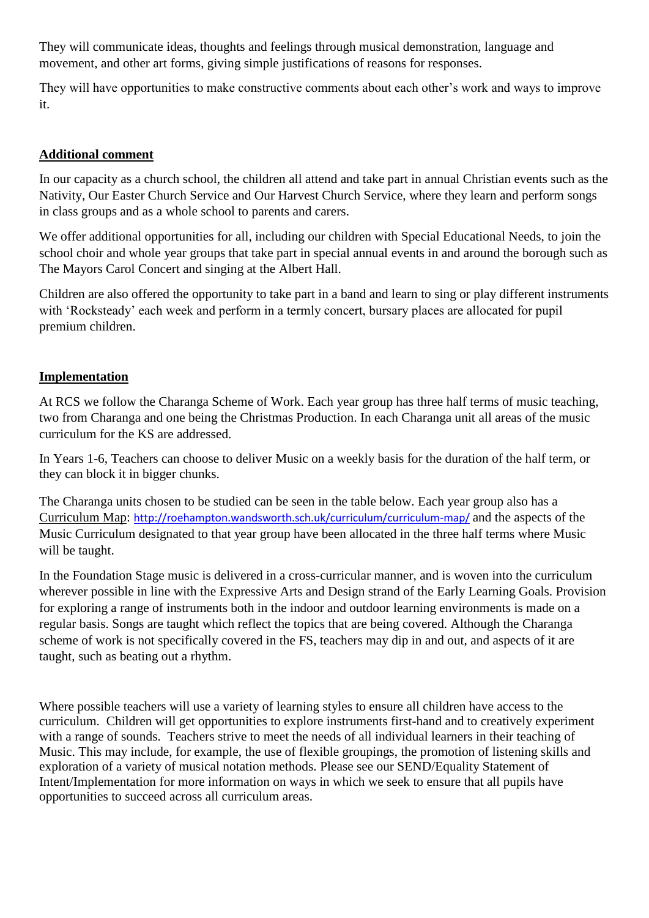They will communicate ideas, thoughts and feelings through musical demonstration, language and movement, and other art forms, giving simple justifications of reasons for responses.

They will have opportunities to make constructive comments about each other's work and ways to improve it.

#### **Additional comment**

In our capacity as a church school, the children all attend and take part in annual Christian events such as the Nativity, Our Easter Church Service and Our Harvest Church Service, where they learn and perform songs in class groups and as a whole school to parents and carers.

We offer additional opportunities for all, including our children with Special Educational Needs, to join the school choir and whole year groups that take part in special annual events in and around the borough such as The Mayors Carol Concert and singing at the Albert Hall.

Children are also offered the opportunity to take part in a band and learn to sing or play different instruments with 'Rocksteady' each week and perform in a termly concert, bursary places are allocated for pupil premium children.

#### **Implementation**

At RCS we follow the Charanga Scheme of Work. Each year group has three half terms of music teaching, two from Charanga and one being the Christmas Production. In each Charanga unit all areas of the music curriculum for the KS are addressed.

In Years 1-6, Teachers can choose to deliver Music on a weekly basis for the duration of the half term, or they can block it in bigger chunks.

The Charanga units chosen to be studied can be seen in the table below. Each year group also has a Curriculum Map: <http://roehampton.wandsworth.sch.uk/curriculum/curriculum-map/> and the aspects of the Music Curriculum designated to that year group have been allocated in the three half terms where Music will be taught.

In the Foundation Stage music is delivered in a cross-curricular manner, and is woven into the curriculum wherever possible in line with the Expressive Arts and Design strand of the Early Learning Goals. Provision for exploring a range of instruments both in the indoor and outdoor learning environments is made on a regular basis. Songs are taught which reflect the topics that are being covered. Although the Charanga scheme of work is not specifically covered in the FS, teachers may dip in and out, and aspects of it are taught, such as beating out a rhythm.

Where possible teachers will use a variety of learning styles to ensure all children have access to the curriculum. Children will get opportunities to explore instruments first-hand and to creatively experiment with a range of sounds. Teachers strive to meet the needs of all individual learners in their teaching of Music. This may include, for example, the use of flexible groupings, the promotion of listening skills and exploration of a variety of musical notation methods. Please see our SEND/Equality Statement of Intent/Implementation for more information on ways in which we seek to ensure that all pupils have opportunities to succeed across all curriculum areas.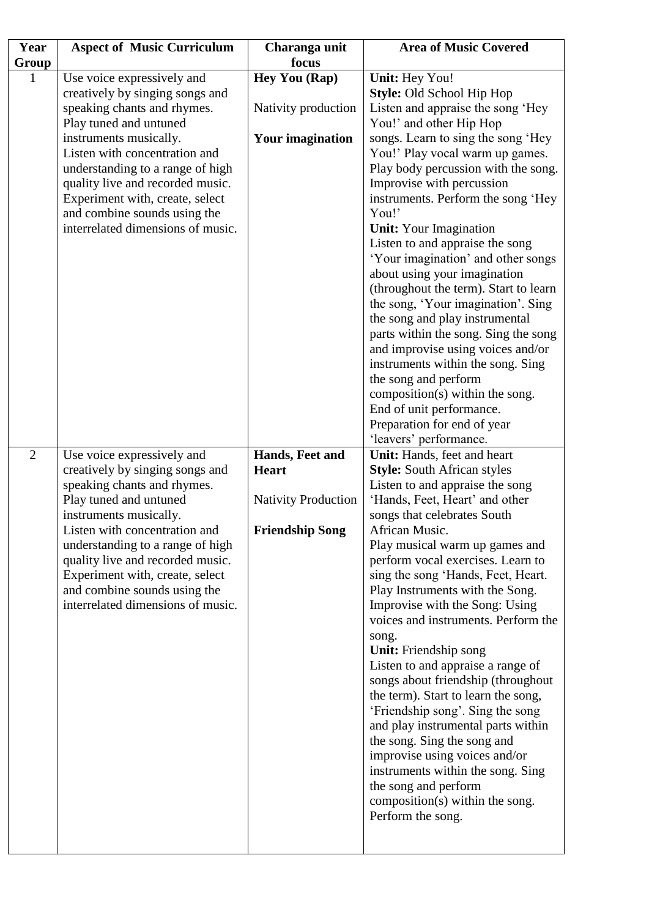| Year           | <b>Aspect of Music Curriculum</b>                                 | Charanga unit                   | <b>Area of Music Covered</b>                                      |
|----------------|-------------------------------------------------------------------|---------------------------------|-------------------------------------------------------------------|
| Group          |                                                                   | focus                           |                                                                   |
|                | Use voice expressively and                                        | Hey You (Rap)                   | Unit: Hey You!                                                    |
|                | creatively by singing songs and                                   |                                 | Style: Old School Hip Hop                                         |
|                | speaking chants and rhymes.                                       | Nativity production             | Listen and appraise the song 'Hey                                 |
|                | Play tuned and untuned                                            |                                 | You!' and other Hip Hop                                           |
|                | instruments musically.                                            | <b>Your imagination</b>         | songs. Learn to sing the song 'Hey                                |
|                | Listen with concentration and                                     |                                 | You!' Play vocal warm up games.                                   |
|                | understanding to a range of high                                  |                                 | Play body percussion with the song.                               |
|                | quality live and recorded music.                                  |                                 | Improvise with percussion                                         |
|                | Experiment with, create, select                                   |                                 | instruments. Perform the song 'Hey<br>You!'                       |
|                | and combine sounds using the<br>interrelated dimensions of music. |                                 | <b>Unit:</b> Your Imagination                                     |
|                |                                                                   |                                 | Listen to and appraise the song                                   |
|                |                                                                   |                                 | 'Your imagination' and other songs                                |
|                |                                                                   |                                 | about using your imagination                                      |
|                |                                                                   |                                 | (throughout the term). Start to learn                             |
|                |                                                                   |                                 | the song, 'Your imagination'. Sing                                |
|                |                                                                   |                                 | the song and play instrumental                                    |
|                |                                                                   |                                 | parts within the song. Sing the song                              |
|                |                                                                   |                                 | and improvise using voices and/or                                 |
|                |                                                                   |                                 | instruments within the song. Sing                                 |
|                |                                                                   |                                 | the song and perform                                              |
|                |                                                                   |                                 | composition(s) within the song.                                   |
|                |                                                                   |                                 | End of unit performance.                                          |
|                |                                                                   |                                 | Preparation for end of year                                       |
|                |                                                                   |                                 | 'leavers' performance.                                            |
| $\overline{2}$ | Use voice expressively and<br>creatively by singing songs and     | Hands, Feet and<br><b>Heart</b> | Unit: Hands, feet and heart<br><b>Style:</b> South African styles |
|                | speaking chants and rhymes.                                       |                                 | Listen to and appraise the song                                   |
|                | Play tuned and untuned                                            | <b>Nativity Production</b>      | 'Hands, Feet, Heart' and other                                    |
|                | instruments musically.                                            |                                 | songs that celebrates South                                       |
|                | Listen with concentration and                                     | <b>Friendship Song</b>          | African Music.                                                    |
|                | understanding to a range of high                                  |                                 | Play musical warm up games and                                    |
|                | quality live and recorded music.                                  |                                 | perform vocal exercises. Learn to                                 |
|                | Experiment with, create, select                                   |                                 | sing the song 'Hands, Feet, Heart.                                |
|                | and combine sounds using the                                      |                                 | Play Instruments with the Song.                                   |
|                | interrelated dimensions of music.                                 |                                 | Improvise with the Song: Using                                    |
|                |                                                                   |                                 | voices and instruments. Perform the                               |
|                |                                                                   |                                 | song.                                                             |
|                |                                                                   |                                 | Unit: Friendship song<br>Listen to and appraise a range of        |
|                |                                                                   |                                 | songs about friendship (throughout                                |
|                |                                                                   |                                 | the term). Start to learn the song,                               |
|                |                                                                   |                                 | 'Friendship song'. Sing the song                                  |
|                |                                                                   |                                 | and play instrumental parts within                                |
|                |                                                                   |                                 | the song. Sing the song and                                       |
|                |                                                                   |                                 | improvise using voices and/or                                     |
|                |                                                                   |                                 | instruments within the song. Sing                                 |
|                |                                                                   |                                 | the song and perform                                              |
|                |                                                                   |                                 | composition(s) within the song.                                   |
|                |                                                                   |                                 | Perform the song.                                                 |
|                |                                                                   |                                 |                                                                   |
|                |                                                                   |                                 |                                                                   |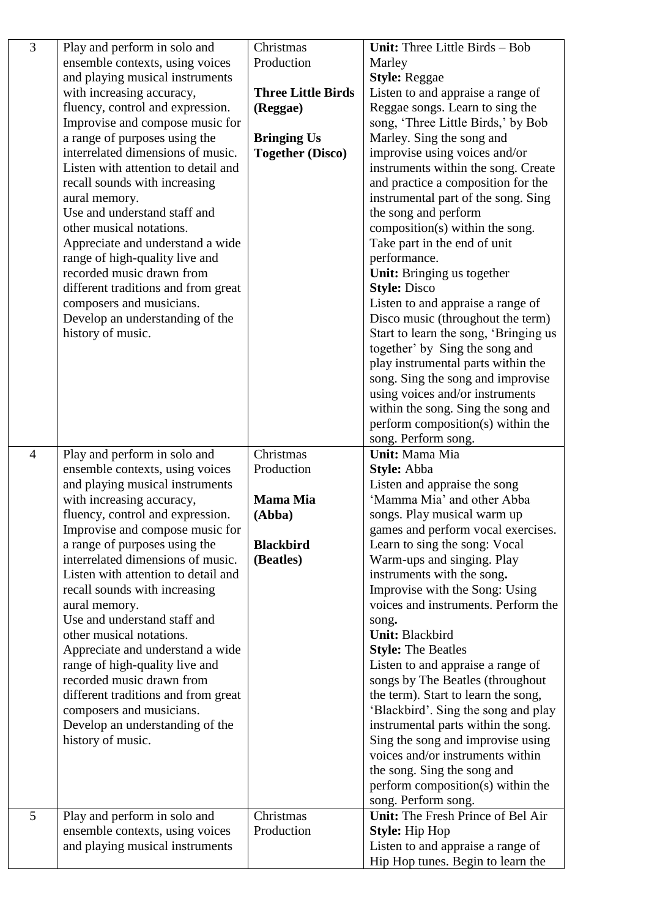| ensemble contexts, using voices<br>Production<br>Marley<br>and playing musical instruments<br><b>Style: Reggae</b><br>with increasing accuracy,<br><b>Three Little Birds</b><br>Listen to and appraise a range of<br>Reggae songs. Learn to sing the<br>fluency, control and expression.<br>(Reggae)<br>Improvise and compose music for<br>song, 'Three Little Birds,' by Bob<br>a range of purposes using the<br><b>Bringing Us</b><br>Marley. Sing the song and<br>interrelated dimensions of music.<br>improvise using voices and/or<br><b>Together (Disco)</b><br>Listen with attention to detail and<br>instruments within the song. Create<br>and practice a composition for the<br>recall sounds with increasing<br>instrumental part of the song. Sing<br>aural memory.<br>Use and understand staff and<br>the song and perform<br>composition(s) within the song.<br>other musical notations.<br>Take part in the end of unit<br>Appreciate and understand a wide<br>performance.<br>range of high-quality live and<br>recorded music drawn from<br>Unit: Bringing us together<br><b>Style: Disco</b><br>different traditions and from great<br>composers and musicians.<br>Listen to and appraise a range of<br>Develop an understanding of the<br>Disco music (throughout the term)<br>history of music.<br>Start to learn the song, 'Bringing us<br>together' by Sing the song and<br>play instrumental parts within the<br>song. Sing the song and improvise<br>using voices and/or instruments<br>within the song. Sing the song and<br>perform composition(s) within the<br>song. Perform song.<br>Christmas<br>Unit: Mama Mia<br>Play and perform in solo and<br>$\overline{4}$<br>ensemble contexts, using voices<br>Production<br>Style: Abba<br>and playing musical instruments<br>Listen and appraise the song<br>'Mamma Mia' and other Abba<br>with increasing accuracy,<br><b>Mama Mia</b><br>fluency, control and expression.<br>songs. Play musical warm up<br>(Abba)<br>games and perform vocal exercises.<br>Improvise and compose music for<br>a range of purposes using the<br><b>Blackbird</b><br>Learn to sing the song: Vocal<br>interrelated dimensions of music.<br>Warm-ups and singing. Play<br>(Beatles)<br>instruments with the song.<br>Listen with attention to detail and<br>recall sounds with increasing<br>Improvise with the Song: Using<br>voices and instruments. Perform the<br>aural memory.<br>Use and understand staff and<br>song.<br>other musical notations.<br><b>Unit: Blackbird</b><br>Appreciate and understand a wide<br><b>Style: The Beatles</b><br>Listen to and appraise a range of<br>range of high-quality live and<br>recorded music drawn from<br>songs by The Beatles (throughout<br>the term). Start to learn the song,<br>different traditions and from great<br>'Blackbird'. Sing the song and play<br>composers and musicians.<br>instrumental parts within the song.<br>Develop an understanding of the<br>history of music.<br>Sing the song and improvise using<br>voices and/or instruments within<br>the song. Sing the song and<br>perform composition(s) within the<br>song. Perform song.<br>5<br>Unit: The Fresh Prince of Bel Air<br>Play and perform in solo and<br>Christmas<br>Production<br>ensemble contexts, using voices<br><b>Style:</b> Hip Hop<br>Listen to and appraise a range of<br>and playing musical instruments | $\overline{3}$ | Play and perform in solo and | Christmas | Unit: Three Little Birds - Bob    |
|-------------------------------------------------------------------------------------------------------------------------------------------------------------------------------------------------------------------------------------------------------------------------------------------------------------------------------------------------------------------------------------------------------------------------------------------------------------------------------------------------------------------------------------------------------------------------------------------------------------------------------------------------------------------------------------------------------------------------------------------------------------------------------------------------------------------------------------------------------------------------------------------------------------------------------------------------------------------------------------------------------------------------------------------------------------------------------------------------------------------------------------------------------------------------------------------------------------------------------------------------------------------------------------------------------------------------------------------------------------------------------------------------------------------------------------------------------------------------------------------------------------------------------------------------------------------------------------------------------------------------------------------------------------------------------------------------------------------------------------------------------------------------------------------------------------------------------------------------------------------------------------------------------------------------------------------------------------------------------------------------------------------------------------------------------------------------------------------------------------------------------------------------------------------------------------------------------------------------------------------------------------------------------------------------------------------------------------------------------------------------------------------------------------------------------------------------------------------------------------------------------------------------------------------------------------------------------------------------------------------------------------------------------------------------------------------------------------------------------------------------------------------------------------------------------------------------------------------------------------------------------------------------------------------------------------------------------------------------------------------------------------------------------------------------------------------------------------------------------------------------------------------------------------------------------------------------------------------------------------------------------------------------------------------------------------------------------------------------------------------------------------------------------------------|----------------|------------------------------|-----------|-----------------------------------|
|                                                                                                                                                                                                                                                                                                                                                                                                                                                                                                                                                                                                                                                                                                                                                                                                                                                                                                                                                                                                                                                                                                                                                                                                                                                                                                                                                                                                                                                                                                                                                                                                                                                                                                                                                                                                                                                                                                                                                                                                                                                                                                                                                                                                                                                                                                                                                                                                                                                                                                                                                                                                                                                                                                                                                                                                                                                                                                                                                                                                                                                                                                                                                                                                                                                                                                                                                                                                                   |                |                              |           |                                   |
|                                                                                                                                                                                                                                                                                                                                                                                                                                                                                                                                                                                                                                                                                                                                                                                                                                                                                                                                                                                                                                                                                                                                                                                                                                                                                                                                                                                                                                                                                                                                                                                                                                                                                                                                                                                                                                                                                                                                                                                                                                                                                                                                                                                                                                                                                                                                                                                                                                                                                                                                                                                                                                                                                                                                                                                                                                                                                                                                                                                                                                                                                                                                                                                                                                                                                                                                                                                                                   |                |                              |           |                                   |
|                                                                                                                                                                                                                                                                                                                                                                                                                                                                                                                                                                                                                                                                                                                                                                                                                                                                                                                                                                                                                                                                                                                                                                                                                                                                                                                                                                                                                                                                                                                                                                                                                                                                                                                                                                                                                                                                                                                                                                                                                                                                                                                                                                                                                                                                                                                                                                                                                                                                                                                                                                                                                                                                                                                                                                                                                                                                                                                                                                                                                                                                                                                                                                                                                                                                                                                                                                                                                   |                |                              |           |                                   |
|                                                                                                                                                                                                                                                                                                                                                                                                                                                                                                                                                                                                                                                                                                                                                                                                                                                                                                                                                                                                                                                                                                                                                                                                                                                                                                                                                                                                                                                                                                                                                                                                                                                                                                                                                                                                                                                                                                                                                                                                                                                                                                                                                                                                                                                                                                                                                                                                                                                                                                                                                                                                                                                                                                                                                                                                                                                                                                                                                                                                                                                                                                                                                                                                                                                                                                                                                                                                                   |                |                              |           |                                   |
|                                                                                                                                                                                                                                                                                                                                                                                                                                                                                                                                                                                                                                                                                                                                                                                                                                                                                                                                                                                                                                                                                                                                                                                                                                                                                                                                                                                                                                                                                                                                                                                                                                                                                                                                                                                                                                                                                                                                                                                                                                                                                                                                                                                                                                                                                                                                                                                                                                                                                                                                                                                                                                                                                                                                                                                                                                                                                                                                                                                                                                                                                                                                                                                                                                                                                                                                                                                                                   |                |                              |           |                                   |
|                                                                                                                                                                                                                                                                                                                                                                                                                                                                                                                                                                                                                                                                                                                                                                                                                                                                                                                                                                                                                                                                                                                                                                                                                                                                                                                                                                                                                                                                                                                                                                                                                                                                                                                                                                                                                                                                                                                                                                                                                                                                                                                                                                                                                                                                                                                                                                                                                                                                                                                                                                                                                                                                                                                                                                                                                                                                                                                                                                                                                                                                                                                                                                                                                                                                                                                                                                                                                   |                |                              |           |                                   |
|                                                                                                                                                                                                                                                                                                                                                                                                                                                                                                                                                                                                                                                                                                                                                                                                                                                                                                                                                                                                                                                                                                                                                                                                                                                                                                                                                                                                                                                                                                                                                                                                                                                                                                                                                                                                                                                                                                                                                                                                                                                                                                                                                                                                                                                                                                                                                                                                                                                                                                                                                                                                                                                                                                                                                                                                                                                                                                                                                                                                                                                                                                                                                                                                                                                                                                                                                                                                                   |                |                              |           |                                   |
|                                                                                                                                                                                                                                                                                                                                                                                                                                                                                                                                                                                                                                                                                                                                                                                                                                                                                                                                                                                                                                                                                                                                                                                                                                                                                                                                                                                                                                                                                                                                                                                                                                                                                                                                                                                                                                                                                                                                                                                                                                                                                                                                                                                                                                                                                                                                                                                                                                                                                                                                                                                                                                                                                                                                                                                                                                                                                                                                                                                                                                                                                                                                                                                                                                                                                                                                                                                                                   |                |                              |           |                                   |
|                                                                                                                                                                                                                                                                                                                                                                                                                                                                                                                                                                                                                                                                                                                                                                                                                                                                                                                                                                                                                                                                                                                                                                                                                                                                                                                                                                                                                                                                                                                                                                                                                                                                                                                                                                                                                                                                                                                                                                                                                                                                                                                                                                                                                                                                                                                                                                                                                                                                                                                                                                                                                                                                                                                                                                                                                                                                                                                                                                                                                                                                                                                                                                                                                                                                                                                                                                                                                   |                |                              |           |                                   |
|                                                                                                                                                                                                                                                                                                                                                                                                                                                                                                                                                                                                                                                                                                                                                                                                                                                                                                                                                                                                                                                                                                                                                                                                                                                                                                                                                                                                                                                                                                                                                                                                                                                                                                                                                                                                                                                                                                                                                                                                                                                                                                                                                                                                                                                                                                                                                                                                                                                                                                                                                                                                                                                                                                                                                                                                                                                                                                                                                                                                                                                                                                                                                                                                                                                                                                                                                                                                                   |                |                              |           |                                   |
|                                                                                                                                                                                                                                                                                                                                                                                                                                                                                                                                                                                                                                                                                                                                                                                                                                                                                                                                                                                                                                                                                                                                                                                                                                                                                                                                                                                                                                                                                                                                                                                                                                                                                                                                                                                                                                                                                                                                                                                                                                                                                                                                                                                                                                                                                                                                                                                                                                                                                                                                                                                                                                                                                                                                                                                                                                                                                                                                                                                                                                                                                                                                                                                                                                                                                                                                                                                                                   |                |                              |           |                                   |
|                                                                                                                                                                                                                                                                                                                                                                                                                                                                                                                                                                                                                                                                                                                                                                                                                                                                                                                                                                                                                                                                                                                                                                                                                                                                                                                                                                                                                                                                                                                                                                                                                                                                                                                                                                                                                                                                                                                                                                                                                                                                                                                                                                                                                                                                                                                                                                                                                                                                                                                                                                                                                                                                                                                                                                                                                                                                                                                                                                                                                                                                                                                                                                                                                                                                                                                                                                                                                   |                |                              |           |                                   |
|                                                                                                                                                                                                                                                                                                                                                                                                                                                                                                                                                                                                                                                                                                                                                                                                                                                                                                                                                                                                                                                                                                                                                                                                                                                                                                                                                                                                                                                                                                                                                                                                                                                                                                                                                                                                                                                                                                                                                                                                                                                                                                                                                                                                                                                                                                                                                                                                                                                                                                                                                                                                                                                                                                                                                                                                                                                                                                                                                                                                                                                                                                                                                                                                                                                                                                                                                                                                                   |                |                              |           |                                   |
|                                                                                                                                                                                                                                                                                                                                                                                                                                                                                                                                                                                                                                                                                                                                                                                                                                                                                                                                                                                                                                                                                                                                                                                                                                                                                                                                                                                                                                                                                                                                                                                                                                                                                                                                                                                                                                                                                                                                                                                                                                                                                                                                                                                                                                                                                                                                                                                                                                                                                                                                                                                                                                                                                                                                                                                                                                                                                                                                                                                                                                                                                                                                                                                                                                                                                                                                                                                                                   |                |                              |           |                                   |
|                                                                                                                                                                                                                                                                                                                                                                                                                                                                                                                                                                                                                                                                                                                                                                                                                                                                                                                                                                                                                                                                                                                                                                                                                                                                                                                                                                                                                                                                                                                                                                                                                                                                                                                                                                                                                                                                                                                                                                                                                                                                                                                                                                                                                                                                                                                                                                                                                                                                                                                                                                                                                                                                                                                                                                                                                                                                                                                                                                                                                                                                                                                                                                                                                                                                                                                                                                                                                   |                |                              |           |                                   |
|                                                                                                                                                                                                                                                                                                                                                                                                                                                                                                                                                                                                                                                                                                                                                                                                                                                                                                                                                                                                                                                                                                                                                                                                                                                                                                                                                                                                                                                                                                                                                                                                                                                                                                                                                                                                                                                                                                                                                                                                                                                                                                                                                                                                                                                                                                                                                                                                                                                                                                                                                                                                                                                                                                                                                                                                                                                                                                                                                                                                                                                                                                                                                                                                                                                                                                                                                                                                                   |                |                              |           |                                   |
|                                                                                                                                                                                                                                                                                                                                                                                                                                                                                                                                                                                                                                                                                                                                                                                                                                                                                                                                                                                                                                                                                                                                                                                                                                                                                                                                                                                                                                                                                                                                                                                                                                                                                                                                                                                                                                                                                                                                                                                                                                                                                                                                                                                                                                                                                                                                                                                                                                                                                                                                                                                                                                                                                                                                                                                                                                                                                                                                                                                                                                                                                                                                                                                                                                                                                                                                                                                                                   |                |                              |           |                                   |
|                                                                                                                                                                                                                                                                                                                                                                                                                                                                                                                                                                                                                                                                                                                                                                                                                                                                                                                                                                                                                                                                                                                                                                                                                                                                                                                                                                                                                                                                                                                                                                                                                                                                                                                                                                                                                                                                                                                                                                                                                                                                                                                                                                                                                                                                                                                                                                                                                                                                                                                                                                                                                                                                                                                                                                                                                                                                                                                                                                                                                                                                                                                                                                                                                                                                                                                                                                                                                   |                |                              |           |                                   |
|                                                                                                                                                                                                                                                                                                                                                                                                                                                                                                                                                                                                                                                                                                                                                                                                                                                                                                                                                                                                                                                                                                                                                                                                                                                                                                                                                                                                                                                                                                                                                                                                                                                                                                                                                                                                                                                                                                                                                                                                                                                                                                                                                                                                                                                                                                                                                                                                                                                                                                                                                                                                                                                                                                                                                                                                                                                                                                                                                                                                                                                                                                                                                                                                                                                                                                                                                                                                                   |                |                              |           |                                   |
|                                                                                                                                                                                                                                                                                                                                                                                                                                                                                                                                                                                                                                                                                                                                                                                                                                                                                                                                                                                                                                                                                                                                                                                                                                                                                                                                                                                                                                                                                                                                                                                                                                                                                                                                                                                                                                                                                                                                                                                                                                                                                                                                                                                                                                                                                                                                                                                                                                                                                                                                                                                                                                                                                                                                                                                                                                                                                                                                                                                                                                                                                                                                                                                                                                                                                                                                                                                                                   |                |                              |           |                                   |
|                                                                                                                                                                                                                                                                                                                                                                                                                                                                                                                                                                                                                                                                                                                                                                                                                                                                                                                                                                                                                                                                                                                                                                                                                                                                                                                                                                                                                                                                                                                                                                                                                                                                                                                                                                                                                                                                                                                                                                                                                                                                                                                                                                                                                                                                                                                                                                                                                                                                                                                                                                                                                                                                                                                                                                                                                                                                                                                                                                                                                                                                                                                                                                                                                                                                                                                                                                                                                   |                |                              |           |                                   |
|                                                                                                                                                                                                                                                                                                                                                                                                                                                                                                                                                                                                                                                                                                                                                                                                                                                                                                                                                                                                                                                                                                                                                                                                                                                                                                                                                                                                                                                                                                                                                                                                                                                                                                                                                                                                                                                                                                                                                                                                                                                                                                                                                                                                                                                                                                                                                                                                                                                                                                                                                                                                                                                                                                                                                                                                                                                                                                                                                                                                                                                                                                                                                                                                                                                                                                                                                                                                                   |                |                              |           |                                   |
|                                                                                                                                                                                                                                                                                                                                                                                                                                                                                                                                                                                                                                                                                                                                                                                                                                                                                                                                                                                                                                                                                                                                                                                                                                                                                                                                                                                                                                                                                                                                                                                                                                                                                                                                                                                                                                                                                                                                                                                                                                                                                                                                                                                                                                                                                                                                                                                                                                                                                                                                                                                                                                                                                                                                                                                                                                                                                                                                                                                                                                                                                                                                                                                                                                                                                                                                                                                                                   |                |                              |           |                                   |
|                                                                                                                                                                                                                                                                                                                                                                                                                                                                                                                                                                                                                                                                                                                                                                                                                                                                                                                                                                                                                                                                                                                                                                                                                                                                                                                                                                                                                                                                                                                                                                                                                                                                                                                                                                                                                                                                                                                                                                                                                                                                                                                                                                                                                                                                                                                                                                                                                                                                                                                                                                                                                                                                                                                                                                                                                                                                                                                                                                                                                                                                                                                                                                                                                                                                                                                                                                                                                   |                |                              |           |                                   |
|                                                                                                                                                                                                                                                                                                                                                                                                                                                                                                                                                                                                                                                                                                                                                                                                                                                                                                                                                                                                                                                                                                                                                                                                                                                                                                                                                                                                                                                                                                                                                                                                                                                                                                                                                                                                                                                                                                                                                                                                                                                                                                                                                                                                                                                                                                                                                                                                                                                                                                                                                                                                                                                                                                                                                                                                                                                                                                                                                                                                                                                                                                                                                                                                                                                                                                                                                                                                                   |                |                              |           |                                   |
|                                                                                                                                                                                                                                                                                                                                                                                                                                                                                                                                                                                                                                                                                                                                                                                                                                                                                                                                                                                                                                                                                                                                                                                                                                                                                                                                                                                                                                                                                                                                                                                                                                                                                                                                                                                                                                                                                                                                                                                                                                                                                                                                                                                                                                                                                                                                                                                                                                                                                                                                                                                                                                                                                                                                                                                                                                                                                                                                                                                                                                                                                                                                                                                                                                                                                                                                                                                                                   |                |                              |           |                                   |
|                                                                                                                                                                                                                                                                                                                                                                                                                                                                                                                                                                                                                                                                                                                                                                                                                                                                                                                                                                                                                                                                                                                                                                                                                                                                                                                                                                                                                                                                                                                                                                                                                                                                                                                                                                                                                                                                                                                                                                                                                                                                                                                                                                                                                                                                                                                                                                                                                                                                                                                                                                                                                                                                                                                                                                                                                                                                                                                                                                                                                                                                                                                                                                                                                                                                                                                                                                                                                   |                |                              |           |                                   |
|                                                                                                                                                                                                                                                                                                                                                                                                                                                                                                                                                                                                                                                                                                                                                                                                                                                                                                                                                                                                                                                                                                                                                                                                                                                                                                                                                                                                                                                                                                                                                                                                                                                                                                                                                                                                                                                                                                                                                                                                                                                                                                                                                                                                                                                                                                                                                                                                                                                                                                                                                                                                                                                                                                                                                                                                                                                                                                                                                                                                                                                                                                                                                                                                                                                                                                                                                                                                                   |                |                              |           |                                   |
|                                                                                                                                                                                                                                                                                                                                                                                                                                                                                                                                                                                                                                                                                                                                                                                                                                                                                                                                                                                                                                                                                                                                                                                                                                                                                                                                                                                                                                                                                                                                                                                                                                                                                                                                                                                                                                                                                                                                                                                                                                                                                                                                                                                                                                                                                                                                                                                                                                                                                                                                                                                                                                                                                                                                                                                                                                                                                                                                                                                                                                                                                                                                                                                                                                                                                                                                                                                                                   |                |                              |           |                                   |
|                                                                                                                                                                                                                                                                                                                                                                                                                                                                                                                                                                                                                                                                                                                                                                                                                                                                                                                                                                                                                                                                                                                                                                                                                                                                                                                                                                                                                                                                                                                                                                                                                                                                                                                                                                                                                                                                                                                                                                                                                                                                                                                                                                                                                                                                                                                                                                                                                                                                                                                                                                                                                                                                                                                                                                                                                                                                                                                                                                                                                                                                                                                                                                                                                                                                                                                                                                                                                   |                |                              |           |                                   |
|                                                                                                                                                                                                                                                                                                                                                                                                                                                                                                                                                                                                                                                                                                                                                                                                                                                                                                                                                                                                                                                                                                                                                                                                                                                                                                                                                                                                                                                                                                                                                                                                                                                                                                                                                                                                                                                                                                                                                                                                                                                                                                                                                                                                                                                                                                                                                                                                                                                                                                                                                                                                                                                                                                                                                                                                                                                                                                                                                                                                                                                                                                                                                                                                                                                                                                                                                                                                                   |                |                              |           |                                   |
|                                                                                                                                                                                                                                                                                                                                                                                                                                                                                                                                                                                                                                                                                                                                                                                                                                                                                                                                                                                                                                                                                                                                                                                                                                                                                                                                                                                                                                                                                                                                                                                                                                                                                                                                                                                                                                                                                                                                                                                                                                                                                                                                                                                                                                                                                                                                                                                                                                                                                                                                                                                                                                                                                                                                                                                                                                                                                                                                                                                                                                                                                                                                                                                                                                                                                                                                                                                                                   |                |                              |           |                                   |
|                                                                                                                                                                                                                                                                                                                                                                                                                                                                                                                                                                                                                                                                                                                                                                                                                                                                                                                                                                                                                                                                                                                                                                                                                                                                                                                                                                                                                                                                                                                                                                                                                                                                                                                                                                                                                                                                                                                                                                                                                                                                                                                                                                                                                                                                                                                                                                                                                                                                                                                                                                                                                                                                                                                                                                                                                                                                                                                                                                                                                                                                                                                                                                                                                                                                                                                                                                                                                   |                |                              |           |                                   |
|                                                                                                                                                                                                                                                                                                                                                                                                                                                                                                                                                                                                                                                                                                                                                                                                                                                                                                                                                                                                                                                                                                                                                                                                                                                                                                                                                                                                                                                                                                                                                                                                                                                                                                                                                                                                                                                                                                                                                                                                                                                                                                                                                                                                                                                                                                                                                                                                                                                                                                                                                                                                                                                                                                                                                                                                                                                                                                                                                                                                                                                                                                                                                                                                                                                                                                                                                                                                                   |                |                              |           |                                   |
|                                                                                                                                                                                                                                                                                                                                                                                                                                                                                                                                                                                                                                                                                                                                                                                                                                                                                                                                                                                                                                                                                                                                                                                                                                                                                                                                                                                                                                                                                                                                                                                                                                                                                                                                                                                                                                                                                                                                                                                                                                                                                                                                                                                                                                                                                                                                                                                                                                                                                                                                                                                                                                                                                                                                                                                                                                                                                                                                                                                                                                                                                                                                                                                                                                                                                                                                                                                                                   |                |                              |           |                                   |
|                                                                                                                                                                                                                                                                                                                                                                                                                                                                                                                                                                                                                                                                                                                                                                                                                                                                                                                                                                                                                                                                                                                                                                                                                                                                                                                                                                                                                                                                                                                                                                                                                                                                                                                                                                                                                                                                                                                                                                                                                                                                                                                                                                                                                                                                                                                                                                                                                                                                                                                                                                                                                                                                                                                                                                                                                                                                                                                                                                                                                                                                                                                                                                                                                                                                                                                                                                                                                   |                |                              |           |                                   |
|                                                                                                                                                                                                                                                                                                                                                                                                                                                                                                                                                                                                                                                                                                                                                                                                                                                                                                                                                                                                                                                                                                                                                                                                                                                                                                                                                                                                                                                                                                                                                                                                                                                                                                                                                                                                                                                                                                                                                                                                                                                                                                                                                                                                                                                                                                                                                                                                                                                                                                                                                                                                                                                                                                                                                                                                                                                                                                                                                                                                                                                                                                                                                                                                                                                                                                                                                                                                                   |                |                              |           |                                   |
|                                                                                                                                                                                                                                                                                                                                                                                                                                                                                                                                                                                                                                                                                                                                                                                                                                                                                                                                                                                                                                                                                                                                                                                                                                                                                                                                                                                                                                                                                                                                                                                                                                                                                                                                                                                                                                                                                                                                                                                                                                                                                                                                                                                                                                                                                                                                                                                                                                                                                                                                                                                                                                                                                                                                                                                                                                                                                                                                                                                                                                                                                                                                                                                                                                                                                                                                                                                                                   |                |                              |           |                                   |
|                                                                                                                                                                                                                                                                                                                                                                                                                                                                                                                                                                                                                                                                                                                                                                                                                                                                                                                                                                                                                                                                                                                                                                                                                                                                                                                                                                                                                                                                                                                                                                                                                                                                                                                                                                                                                                                                                                                                                                                                                                                                                                                                                                                                                                                                                                                                                                                                                                                                                                                                                                                                                                                                                                                                                                                                                                                                                                                                                                                                                                                                                                                                                                                                                                                                                                                                                                                                                   |                |                              |           |                                   |
|                                                                                                                                                                                                                                                                                                                                                                                                                                                                                                                                                                                                                                                                                                                                                                                                                                                                                                                                                                                                                                                                                                                                                                                                                                                                                                                                                                                                                                                                                                                                                                                                                                                                                                                                                                                                                                                                                                                                                                                                                                                                                                                                                                                                                                                                                                                                                                                                                                                                                                                                                                                                                                                                                                                                                                                                                                                                                                                                                                                                                                                                                                                                                                                                                                                                                                                                                                                                                   |                |                              |           |                                   |
|                                                                                                                                                                                                                                                                                                                                                                                                                                                                                                                                                                                                                                                                                                                                                                                                                                                                                                                                                                                                                                                                                                                                                                                                                                                                                                                                                                                                                                                                                                                                                                                                                                                                                                                                                                                                                                                                                                                                                                                                                                                                                                                                                                                                                                                                                                                                                                                                                                                                                                                                                                                                                                                                                                                                                                                                                                                                                                                                                                                                                                                                                                                                                                                                                                                                                                                                                                                                                   |                |                              |           |                                   |
|                                                                                                                                                                                                                                                                                                                                                                                                                                                                                                                                                                                                                                                                                                                                                                                                                                                                                                                                                                                                                                                                                                                                                                                                                                                                                                                                                                                                                                                                                                                                                                                                                                                                                                                                                                                                                                                                                                                                                                                                                                                                                                                                                                                                                                                                                                                                                                                                                                                                                                                                                                                                                                                                                                                                                                                                                                                                                                                                                                                                                                                                                                                                                                                                                                                                                                                                                                                                                   |                |                              |           |                                   |
|                                                                                                                                                                                                                                                                                                                                                                                                                                                                                                                                                                                                                                                                                                                                                                                                                                                                                                                                                                                                                                                                                                                                                                                                                                                                                                                                                                                                                                                                                                                                                                                                                                                                                                                                                                                                                                                                                                                                                                                                                                                                                                                                                                                                                                                                                                                                                                                                                                                                                                                                                                                                                                                                                                                                                                                                                                                                                                                                                                                                                                                                                                                                                                                                                                                                                                                                                                                                                   |                |                              |           |                                   |
|                                                                                                                                                                                                                                                                                                                                                                                                                                                                                                                                                                                                                                                                                                                                                                                                                                                                                                                                                                                                                                                                                                                                                                                                                                                                                                                                                                                                                                                                                                                                                                                                                                                                                                                                                                                                                                                                                                                                                                                                                                                                                                                                                                                                                                                                                                                                                                                                                                                                                                                                                                                                                                                                                                                                                                                                                                                                                                                                                                                                                                                                                                                                                                                                                                                                                                                                                                                                                   |                |                              |           |                                   |
|                                                                                                                                                                                                                                                                                                                                                                                                                                                                                                                                                                                                                                                                                                                                                                                                                                                                                                                                                                                                                                                                                                                                                                                                                                                                                                                                                                                                                                                                                                                                                                                                                                                                                                                                                                                                                                                                                                                                                                                                                                                                                                                                                                                                                                                                                                                                                                                                                                                                                                                                                                                                                                                                                                                                                                                                                                                                                                                                                                                                                                                                                                                                                                                                                                                                                                                                                                                                                   |                |                              |           |                                   |
|                                                                                                                                                                                                                                                                                                                                                                                                                                                                                                                                                                                                                                                                                                                                                                                                                                                                                                                                                                                                                                                                                                                                                                                                                                                                                                                                                                                                                                                                                                                                                                                                                                                                                                                                                                                                                                                                                                                                                                                                                                                                                                                                                                                                                                                                                                                                                                                                                                                                                                                                                                                                                                                                                                                                                                                                                                                                                                                                                                                                                                                                                                                                                                                                                                                                                                                                                                                                                   |                |                              |           |                                   |
|                                                                                                                                                                                                                                                                                                                                                                                                                                                                                                                                                                                                                                                                                                                                                                                                                                                                                                                                                                                                                                                                                                                                                                                                                                                                                                                                                                                                                                                                                                                                                                                                                                                                                                                                                                                                                                                                                                                                                                                                                                                                                                                                                                                                                                                                                                                                                                                                                                                                                                                                                                                                                                                                                                                                                                                                                                                                                                                                                                                                                                                                                                                                                                                                                                                                                                                                                                                                                   |                |                              |           |                                   |
|                                                                                                                                                                                                                                                                                                                                                                                                                                                                                                                                                                                                                                                                                                                                                                                                                                                                                                                                                                                                                                                                                                                                                                                                                                                                                                                                                                                                                                                                                                                                                                                                                                                                                                                                                                                                                                                                                                                                                                                                                                                                                                                                                                                                                                                                                                                                                                                                                                                                                                                                                                                                                                                                                                                                                                                                                                                                                                                                                                                                                                                                                                                                                                                                                                                                                                                                                                                                                   |                |                              |           |                                   |
|                                                                                                                                                                                                                                                                                                                                                                                                                                                                                                                                                                                                                                                                                                                                                                                                                                                                                                                                                                                                                                                                                                                                                                                                                                                                                                                                                                                                                                                                                                                                                                                                                                                                                                                                                                                                                                                                                                                                                                                                                                                                                                                                                                                                                                                                                                                                                                                                                                                                                                                                                                                                                                                                                                                                                                                                                                                                                                                                                                                                                                                                                                                                                                                                                                                                                                                                                                                                                   |                |                              |           |                                   |
|                                                                                                                                                                                                                                                                                                                                                                                                                                                                                                                                                                                                                                                                                                                                                                                                                                                                                                                                                                                                                                                                                                                                                                                                                                                                                                                                                                                                                                                                                                                                                                                                                                                                                                                                                                                                                                                                                                                                                                                                                                                                                                                                                                                                                                                                                                                                                                                                                                                                                                                                                                                                                                                                                                                                                                                                                                                                                                                                                                                                                                                                                                                                                                                                                                                                                                                                                                                                                   |                |                              |           |                                   |
|                                                                                                                                                                                                                                                                                                                                                                                                                                                                                                                                                                                                                                                                                                                                                                                                                                                                                                                                                                                                                                                                                                                                                                                                                                                                                                                                                                                                                                                                                                                                                                                                                                                                                                                                                                                                                                                                                                                                                                                                                                                                                                                                                                                                                                                                                                                                                                                                                                                                                                                                                                                                                                                                                                                                                                                                                                                                                                                                                                                                                                                                                                                                                                                                                                                                                                                                                                                                                   |                |                              |           |                                   |
|                                                                                                                                                                                                                                                                                                                                                                                                                                                                                                                                                                                                                                                                                                                                                                                                                                                                                                                                                                                                                                                                                                                                                                                                                                                                                                                                                                                                                                                                                                                                                                                                                                                                                                                                                                                                                                                                                                                                                                                                                                                                                                                                                                                                                                                                                                                                                                                                                                                                                                                                                                                                                                                                                                                                                                                                                                                                                                                                                                                                                                                                                                                                                                                                                                                                                                                                                                                                                   |                |                              |           | Hip Hop tunes. Begin to learn the |